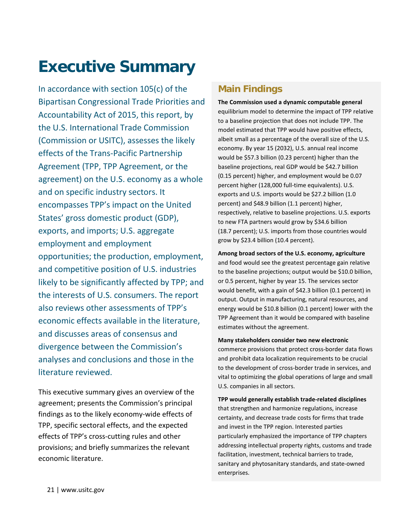# **Executive Summary**

In accordance with section 105(c) of the Bipartisan Congressional Trade Priorities and Accountability Act of 2015, this report, by the U.S. International Trade Commission (Commission or USITC), assesses the likely effects of the Trans-Pacific Partnership Agreement (TPP, TPP Agreement, or the agreement) on the U.S. economy as a whole and on specific industry sectors. It encompasses TPP's impact on the United States' gross domestic product (GDP), exports, and imports; U.S. aggregate employment and employment opportunities; the production, employment, and competitive position of U.S. industries likely to be significantly affected by TPP; and the interests of U.S. consumers. The report also reviews other assessments of TPP's economic effects available in the literature, and discusses areas of consensus and divergence between the Commission's analyses and conclusions and those in the literature reviewed.

This executive summary gives an overview of the agreement; presents the Commission's principal findings as to the likely economy-wide effects of TPP, specific sectoral effects, and the expected effects of TPP's cross-cutting rules and other provisions; and briefly summarizes the relevant economic literature.

### **Main Findings**

**The Commission used a dynamic computable general** equilibrium model to determine the impact of TPP relative to a baseline projection that does not include TPP. The model estimated that TPP would have positive effects, albeit small as a percentage of the overall size of the U.S. economy. By year 15 (2032), U.S. annual real income would be \$57.3 billion (0.23 percent) higher than the baseline projections, real GDP would be \$42.7 billion (0.15 percent) higher, and employment would be 0.07 percent higher (128,000 full-time equivalents). U.S. exports and U.S. imports would be \$27.2 billion (1.0 percent) and \$48.9 billion (1.1 percent) higher, respectively, relative to baseline projections. U.S. exports to new FTA partners would grow by \$34.6 billion (18.7 percent); U.S. imports from those countries would grow by \$23.4 billion (10.4 percent).

**Among broad sectors of the U.S. economy, agriculture**  and food would see the greatest percentage gain relative to the baseline projections; output would be \$10.0 billion, or 0.5 percent, higher by year 15. The services sector would benefit, with a gain of \$42.3 billion (0.1 percent) in output. Output in manufacturing, natural resources, and energy would be \$10.8 billion (0.1 percent) lower with the TPP Agreement than it would be compared with baseline estimates without the agreement.

**Many stakeholders consider two new electronic** commerce provisions that protect cross-border data flows and prohibit data localization requirements to be crucial to the development of cross-border trade in services, and vital to optimizing the global operations of large and small U.S. companies in all sectors.

**TPP would generally establish trade-related disciplines** that strengthen and harmonize regulations, increase certainty, and decrease trade costs for firms that trade and invest in the TPP region. Interested parties particularly emphasized the importance of TPP chapters addressing intellectual property rights, customs and trade facilitation, investment, technical barriers to trade, sanitary and phytosanitary standards, and state-owned enterprises.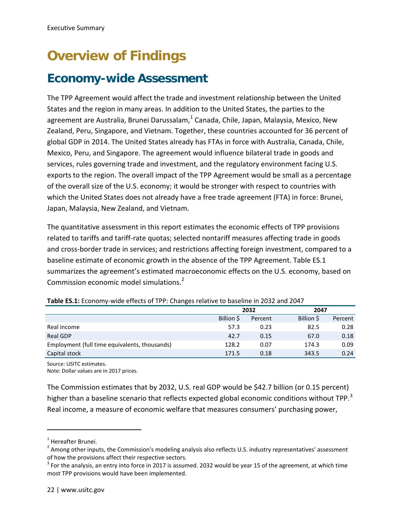# **Overview of Findings**

## **Economy-wide Assessment**

The TPP Agreement would affect the trade and investment relationship between the United States and the region in many areas. In addition to the United States, the parties to the agreement are Australia, Brunei Darussalam,<sup>[1](#page-1-0)</sup> Canada, Chile, Japan, Malaysia, Mexico, New Zealand, Peru, Singapore, and Vietnam. Together, these countries accounted for 36 percent of global GDP in 2014. The United States already has FTAs in force with Australia, Canada, Chile, Mexico, Peru, and Singapore. The agreement would influence bilateral trade in goods and services, rules governing trade and investment, and the regulatory environment facing U.S. exports to the region. The overall impact of the TPP Agreement would be small as a percentage of the overall size of the U.S. economy; it would be stronger with respect to countries with which the United States does not already have a free trade agreement (FTA) in force: Brunei, Japan, Malaysia, New Zealand, and Vietnam.

The quantitative assessment in this report estimates the economic effects of TPP provisions related to tariffs and tariff-rate quotas; selected nontariff measures affecting trade in goods and cross-border trade in services; and restrictions affecting foreign investment, compared to a baseline estimate of economic growth in the absence of the TPP Agreement. Table ES.1 summarizes the agreement's estimated macroeconomic effects on the U.S. economy, based on Commission economic model simulations.<sup>[2](#page-1-1)</sup>

|                                               |            | 2032    | 2047      |         |  |
|-----------------------------------------------|------------|---------|-----------|---------|--|
|                                               | Billion \$ | Percent | Billion S | Percent |  |
| Real income                                   | 57.3       | 0.23    | 82.5      | 0.28    |  |
| Real GDP                                      | 42.7       | 0.15    | 67.0      | 0.18    |  |
| Employment (full time equivalents, thousands) | 128.2      | 0.07    | 174.3     | 0.09    |  |
| Capital stock                                 | 171.5      | 0.18    | 343.5     | 0.24    |  |

Source: USITC estimates.

Note: Dollar values are in 2017 prices.

The Commission estimates that by 2032, U.S. real GDP would be \$42.7 billion (or 0.15 percent) higher than a baseline scenario that reflects expected global economic conditions without TPP.<sup>[3](#page-1-2)</sup> Real income, a measure of economic welfare that measures consumers' purchasing power,

 $\overline{a}$ 

<span id="page-1-0"></span><sup>1</sup> Hereafter Brunei.

<span id="page-1-1"></span><sup>&</sup>lt;sup>2</sup> Among other inputs, the Commission's modeling analysis also reflects U.S. industry representatives' assessment of how the provisions affect their respective sectors.

<span id="page-1-2"></span> $3$  For the analysis, an entry into force in 2017 is assumed. 2032 would be year 15 of the agreement, at which time most TPP provisions would have been implemented.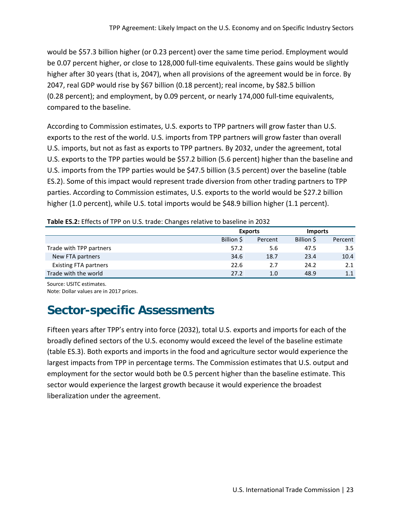would be \$57.3 billion higher (or 0.23 percent) over the same time period. Employment would be 0.07 percent higher, or close to 128,000 full-time equivalents. These gains would be slightly higher after 30 years (that is, 2047), when all provisions of the agreement would be in force. By 2047, real GDP would rise by \$67 billion (0.18 percent); real income, by \$82.5 billion (0.28 percent); and employment, by 0.09 percent, or nearly 174,000 full-time equivalents, compared to the baseline.

According to Commission estimates, U.S. exports to TPP partners will grow faster than U.S. exports to the rest of the world. U.S. imports from TPP partners will grow faster than overall U.S. imports, but not as fast as exports to TPP partners. By 2032, under the agreement, total U.S. exports to the TPP parties would be \$57.2 billion (5.6 percent) higher than the baseline and U.S. imports from the TPP parties would be \$47.5 billion (3.5 percent) over the baseline (table ES.2). Some of this impact would represent trade diversion from other trading partners to TPP parties. According to Commission estimates, U.S. exports to the world would be \$27.2 billion higher (1.0 percent), while U.S. total imports would be \$48.9 billion higher (1.1 percent).

| <b>Table ES.2:</b> Effects of TPP on U.S. trade: Changes relative to baseline in 2032. |                |         |                |         |  |  |  |  |
|----------------------------------------------------------------------------------------|----------------|---------|----------------|---------|--|--|--|--|
|                                                                                        | <b>Exports</b> |         | <b>Imports</b> |         |  |  |  |  |
|                                                                                        | Billion S      | Percent | Billion S      | Percent |  |  |  |  |
| Trade with TPP partners                                                                | 57.2           | 5.6     | 47.5           | 3.5     |  |  |  |  |
| New FTA partners                                                                       | 34.6           | 18.7    | 23.4           | 10.4    |  |  |  |  |
| <b>Existing FTA partners</b>                                                           | 22.6           | 2.7     | 24.2           | 2.1     |  |  |  |  |
| Trade with the world                                                                   | 27.2           | 1.0     | 48.9           | 1.1     |  |  |  |  |

Source: USITC estimates. Note: Dollar values are in 2017 prices.

## **Sector-specific Assessments**

Fifteen years after TPP's entry into force (2032), total U.S. exports and imports for each of the broadly defined sectors of the U.S. economy would exceed the level of the baseline estimate (table ES.3). Both exports and imports in the food and agriculture sector would experience the largest impacts from TPP in percentage terms. The Commission estimates that U.S. output and employment for the sector would both be 0.5 percent higher than the baseline estimate. This sector would experience the largest growth because it would experience the broadest liberalization under the agreement.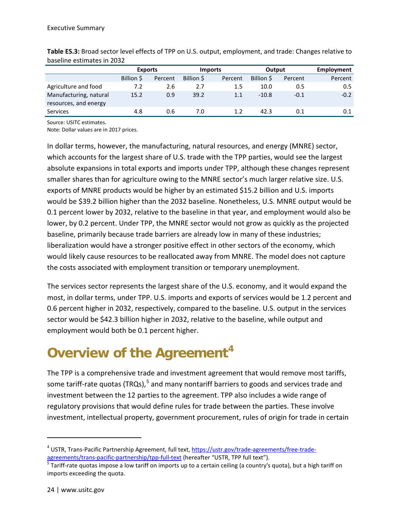|                                                 |           | <b>Exports</b> |           | <b>Imports</b> | Output    |         | Employment |
|-------------------------------------------------|-----------|----------------|-----------|----------------|-----------|---------|------------|
|                                                 | Billion S | Percent        | Billion S | Percent        | Billion S | Percent | Percent    |
| Agriculture and food                            | 7.2       | 2.6            | 2.7       | 1.5            | 10.0      | 0.5     | 0.5        |
| Manufacturing, natural<br>resources, and energy | 15.2      | 0.9            | 39.2      | 1.1            | $-10.8$   | $-0.1$  | $-0.2$     |
| <b>Services</b>                                 | 4.8       | 0.6            | 7.0       |                | 42.3      | 0.1     | 0.1        |

**Table ES.3:** Broad sector level effects of TPP on U.S. output, employment, and trade: Changes relative to baseline estimates in 2032

Source: USITC estimates.

Note: Dollar values are in 2017 prices.

In dollar terms, however, the manufacturing, natural resources, and energy (MNRE) sector, which accounts for the largest share of U.S. trade with the TPP parties, would see the largest absolute expansions in total exports and imports under TPP, although these changes represent smaller shares than for agriculture owing to the MNRE sector's much larger relative size. U.S. exports of MNRE products would be higher by an estimated \$15.2 billion and U.S. imports would be \$39.2 billion higher than the 2032 baseline. Nonetheless, U.S. MNRE output would be 0.1 percent lower by 2032, relative to the baseline in that year, and employment would also be lower, by 0.2 percent. Under TPP, the MNRE sector would not grow as quickly as the projected baseline, primarily because trade barriers are already low in many of these industries; liberalization would have a stronger positive effect in other sectors of the economy, which would likely cause resources to be reallocated away from MNRE. The model does not capture the costs associated with employment transition or temporary unemployment.

The services sector represents the largest share of the U.S. economy, and it would expand the most, in dollar terms, under TPP. U.S. imports and exports of services would be 1.2 percent and 0.6 percent higher in 2032, respectively, compared to the baseline. U.S. output in the services sector would be \$42.3 billion higher in 2032, relative to the baseline, while output and employment would both be 0.1 percent higher.

# **Overview of the Agreement[4](#page-3-0)**

The TPP is a comprehensive trade and investment agreement that would remove most tariffs, some tariff-rate quotas (TRQs), $5$  and many nontariff barriers to goods and services trade and investment between the 12 parties to the agreement. TPP also includes a wide range of regulatory provisions that would define rules for trade between the parties. These involve investment, intellectual property, government procurement, rules of origin for trade in certain

 $\overline{a}$ 

<span id="page-3-0"></span> $^4$  USTR, Trans-Pacific Partnership Agreement, full text, [https://ustr.gov/trade-agreements/free-trade](https://ustr.gov/trade-agreements/free-trade-agreements/trans-pacific-partnership/tpp-full-text)[agreements/trans-pacific-partnership/tpp-full-text](https://ustr.gov/trade-agreements/free-trade-agreements/trans-pacific-partnership/tpp-full-text) (hereafter "USTR, TPP full text").<br><sup>5</sup> Tariff-rate quotas impose a low tariff on imports up to a certain ceiling (a country's quota), but a high tariff on

<span id="page-3-1"></span>imports exceeding the quota.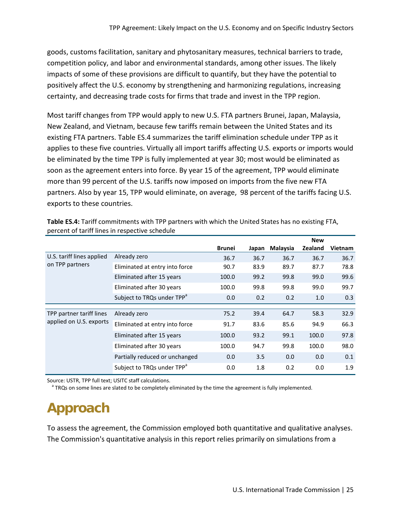goods, customs facilitation, sanitary and phytosanitary measures, technical barriers to trade, competition policy, and labor and environmental standards, among other issues. The likely impacts of some of these provisions are difficult to quantify, but they have the potential to positively affect the U.S. economy by strengthening and harmonizing regulations, increasing certainty, and decreasing trade costs for firms that trade and invest in the TPP region.

Most tariff changes from TPP would apply to new U.S. FTA partners Brunei, Japan, Malaysia, New Zealand, and Vietnam, because few tariffs remain between the United States and its existing FTA partners. Table ES.4 summarizes the tariff elimination schedule under TPP as it applies to these five countries. Virtually all import tariffs affecting U.S. exports or imports would be eliminated by the time TPP is fully implemented at year 30; most would be eliminated as soon as the agreement enters into force. By year 15 of the agreement, TPP would eliminate more than 99 percent of the U.S. tariffs now imposed on imports from the five new FTA partners. Also by year 15, TPP would eliminate, on average, 98 percent of the tariffs facing U.S. exports to these countries.

|                           |                                        |               |       |          | <b>New</b>     |                |
|---------------------------|----------------------------------------|---------------|-------|----------|----------------|----------------|
|                           |                                        | <b>Brunei</b> | Japan | Malaysia | <b>Zealand</b> | <b>Vietnam</b> |
| U.S. tariff lines applied | Already zero                           | 36.7          | 36.7  | 36.7     | 36.7           | 36.7           |
| on TPP partners           | Eliminated at entry into force         | 90.7          | 83.9  | 89.7     | 87.7           | 78.8           |
|                           | Eliminated after 15 years              | 100.0         | 99.2  | 99.8     | 99.0           | 99.6           |
|                           | Eliminated after 30 years              | 100.0         | 99.8  | 99.8     | 99.0           | 99.7           |
|                           | Subject to TRQs under TPP <sup>a</sup> | 0.0           | 0.2   | 0.2      | 1.0            | 0.3            |
|                           |                                        |               |       |          |                |                |
| TPP partner tariff lines  | Already zero                           | 75.2          | 39.4  | 64.7     | 58.3           | 32.9           |
| applied on U.S. exports   | Eliminated at entry into force         | 91.7          | 83.6  | 85.6     | 94.9           | 66.3           |
|                           | Eliminated after 15 years              | 100.0         | 93.2  | 99.1     | 100.0          | 97.8           |
|                           | Eliminated after 30 years              | 100.0         | 94.7  | 99.8     | 100.0          | 98.0           |
|                           | Partially reduced or unchanged         | 0.0           | 3.5   | 0.0      | 0.0            | 0.1            |
|                           | Subject to TRQs under TPP <sup>a</sup> | 0.0           | 1.8   | 0.2      | 0.0            | 1.9            |

**Table ES.4:** Tariff commitments with TPP partners with which the United States has no existing FTA, percent of tariff lines in respective schedule

Source: USTR, TPP full text; USITC staff calculations.<br><sup>a</sup> TRQs on some lines are slated to be completely eliminated by the time the agreement is fully implemented.

# **Approach**

To assess the agreement, the Commission employed both quantitative and qualitative analyses. The Commission's quantitative analysis in this report relies primarily on simulations from a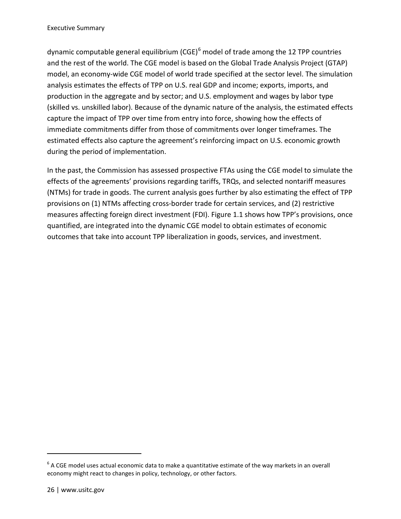dynamic computable general equilibrium  $(CGE)^6$  $(CGE)^6$  model of trade among the 12 TPP countries and the rest of the world. The CGE model is based on the Global Trade Analysis Project (GTAP) model, an economy-wide CGE model of world trade specified at the sector level. The simulation analysis estimates the effects of TPP on U.S. real GDP and income; exports, imports, and production in the aggregate and by sector; and U.S. employment and wages by labor type (skilled vs. unskilled labor). Because of the dynamic nature of the analysis, the estimated effects capture the impact of TPP over time from entry into force, showing how the effects of immediate commitments differ from those of commitments over longer timeframes. The estimated effects also capture the agreement's reinforcing impact on U.S. economic growth during the period of implementation.

In the past, the Commission has assessed prospective FTAs using the CGE model to simulate the effects of the agreements' provisions regarding tariffs, TRQs, and selected nontariff measures (NTMs) for trade in goods. The current analysis goes further by also estimating the effect of TPP provisions on (1) NTMs affecting cross-border trade for certain services, and (2) restrictive measures affecting foreign direct investment (FDI). Figure 1.1 shows how TPP's provisions, once quantified, are integrated into the dynamic CGE model to obtain estimates of economic outcomes that take into account TPP liberalization in goods, services, and investment.

 $\overline{a}$ 

<span id="page-5-0"></span> $6$  A CGE model uses actual economic data to make a quantitative estimate of the way markets in an overall economy might react to changes in policy, technology, or other factors.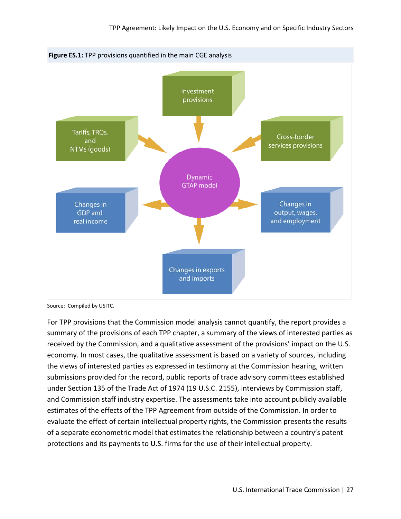

Source: Compiled by USITC.

For TPP provisions that the Commission model analysis cannot quantify, the report provides a summary of the provisions of each TPP chapter, a summary of the views of interested parties as received by the Commission, and a qualitative assessment of the provisions' impact on the U.S. economy. In most cases, the qualitative assessment is based on a variety of sources, including the views of interested parties as expressed in testimony at the Commission hearing, written submissions provided for the record, public reports of trade advisory committees established under Section 135 of the Trade Act of 1974 (19 U.S.C. 2155), interviews by Commission staff, and Commission staff industry expertise. The assessments take into account publicly available estimates of the effects of the TPP Agreement from outside of the Commission. In order to evaluate the effect of certain intellectual property rights, the Commission presents the results of a separate econometric model that estimates the relationship between a country's patent protections and its payments to U.S. firms for the use of their intellectual property.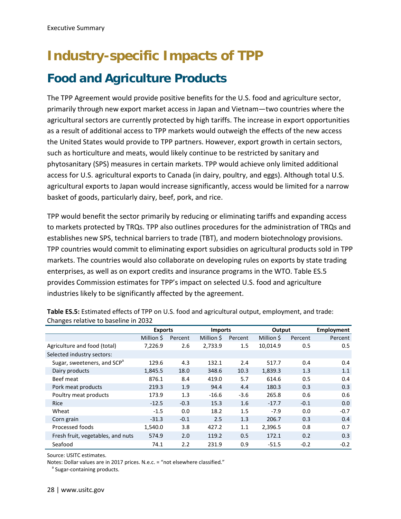# **Industry-specific Impacts of TPP Food and Agriculture Products**

The TPP Agreement would provide positive benefits for the U.S. food and agriculture sector, primarily through new export market access in Japan and Vietnam—two countries where the agricultural sectors are currently protected by high tariffs. The increase in export opportunities as a result of additional access to TPP markets would outweigh the effects of the new access the United States would provide to TPP partners. However, export growth in certain sectors, such as horticulture and meats, would likely continue to be restricted by sanitary and phytosanitary (SPS) measures in certain markets. TPP would achieve only limited additional access for U.S. agricultural exports to Canada (in dairy, poultry, and eggs). Although total U.S. agricultural exports to Japan would increase significantly, access would be limited for a narrow basket of goods, particularly dairy, beef, pork, and rice.

TPP would benefit the sector primarily by reducing or eliminating tariffs and expanding access to markets protected by TRQs. TPP also outlines procedures for the administration of TRQs and establishes new SPS, technical barriers to trade (TBT), and modern biotechnology provisions. TPP countries would commit to eliminating export subsidies on agricultural products sold in TPP markets. The countries would also collaborate on developing rules on exports by state trading enterprises, as well as on export credits and insurance programs in the WTO. Table ES.5 provides Commission estimates for TPP's impact on selected U.S. food and agriculture industries likely to be significantly affected by the agreement.

|                                         | <b>Exports</b> |         | <b>Imports</b> |         | Output     |         | Employment |
|-----------------------------------------|----------------|---------|----------------|---------|------------|---------|------------|
|                                         | Million \$     | Percent | Million \$     | Percent | Million \$ | Percent | Percent    |
| Agriculture and food (total)            | 7,226.9        | 2.6     | 2,733.9        | 1.5     | 10.014.9   | 0.5     | 0.5        |
| Selected industry sectors:              |                |         |                |         |            |         |            |
| Sugar, sweeteners, and SCP <sup>a</sup> | 129.6          | 4.3     | 132.1          | 2.4     | 517.7      | 0.4     | 0.4        |
| Dairy products                          | 1,845.5        | 18.0    | 348.6          | 10.3    | 1,839.3    | 1.3     | 1.1        |
| Beef meat                               | 876.1          | 8.4     | 419.0          | 5.7     | 614.6      | 0.5     | 0.4        |
| Pork meat products                      | 219.3          | 1.9     | 94.4           | 4.4     | 180.3      | 0.3     | 0.3        |
| Poultry meat products                   | 173.9          | 1.3     | $-16.6$        | $-3.6$  | 265.8      | 0.6     | 0.6        |
| Rice                                    | $-12.5$        | $-0.3$  | 15.3           | 1.6     | $-17.7$    | $-0.1$  | 0.0        |
| Wheat                                   | $-1.5$         | 0.0     | 18.2           | 1.5     | $-7.9$     | 0.0     | $-0.7$     |
| Corn grain                              | $-31.3$        | $-0.1$  | 2.5            | 1.3     | 206.7      | 0.3     | 0.4        |
| Processed foods                         | 1,540.0        | 3.8     | 427.2          | 1.1     | 2,396.5    | 0.8     | 0.7        |
| Fresh fruit, vegetables, and nuts       | 574.9          | 2.0     | 119.2          | 0.5     | 172.1      | 0.2     | 0.3        |
| Seafood                                 | 74.1           | 2.2     | 231.9          | 0.9     | $-51.5$    | $-0.2$  | $-0.2$     |

**Table ES.5:** Estimated effects of TPP on U.S. food and agricultural output, employment, and trade: Changes relative to baseline in 2032

Source: USITC estimates.

Notes: Dollar values are in 2017 prices. N.e.c. = "not elsewhere classified."<br><sup>a</sup> Sugar-containing products.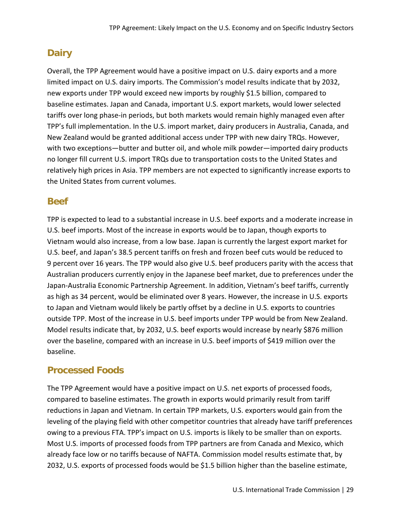## **Dairy**

Overall, the TPP Agreement would have a positive impact on U.S. dairy exports and a more limited impact on U.S. dairy imports. The Commission's model results indicate that by 2032, new exports under TPP would exceed new imports by roughly \$1.5 billion, compared to baseline estimates. Japan and Canada, important U.S. export markets, would lower selected tariffs over long phase-in periods, but both markets would remain highly managed even after TPP's full implementation. In the U.S. import market, dairy producers in Australia, Canada, and New Zealand would be granted additional access under TPP with new dairy TRQs. However, with two exceptions—butter and butter oil, and whole milk powder—imported dairy products no longer fill current U.S. import TRQs due to transportation costs to the United States and relatively high prices in Asia. TPP members are not expected to significantly increase exports to the United States from current volumes.

### **Beef**

TPP is expected to lead to a substantial increase in U.S. beef exports and a moderate increase in U.S. beef imports. Most of the increase in exports would be to Japan, though exports to Vietnam would also increase, from a low base. Japan is currently the largest export market for U.S. beef, and Japan's 38.5 percent tariffs on fresh and frozen beef cuts would be reduced to 9 percent over 16 years. The TPP would also give U.S. beef producers parity with the access that Australian producers currently enjoy in the Japanese beef market, due to preferences under the Japan-Australia Economic Partnership Agreement. In addition, Vietnam's beef tariffs, currently as high as 34 percent, would be eliminated over 8 years. However, the increase in U.S. exports to Japan and Vietnam would likely be partly offset by a decline in U.S. exports to countries outside TPP. Most of the increase in U.S. beef imports under TPP would be from New Zealand. Model results indicate that, by 2032, U.S. beef exports would increase by nearly \$876 million over the baseline, compared with an increase in U.S. beef imports of \$419 million over the baseline.

## **Processed Foods**

The TPP Agreement would have a positive impact on U.S. net exports of processed foods, compared to baseline estimates. The growth in exports would primarily result from tariff reductions in Japan and Vietnam. In certain TPP markets, U.S. exporters would gain from the leveling of the playing field with other competitor countries that already have tariff preferences owing to a previous FTA. TPP's impact on U.S. imports is likely to be smaller than on exports. Most U.S. imports of processed foods from TPP partners are from Canada and Mexico, which already face low or no tariffs because of NAFTA. Commission model results estimate that, by 2032, U.S. exports of processed foods would be \$1.5 billion higher than the baseline estimate,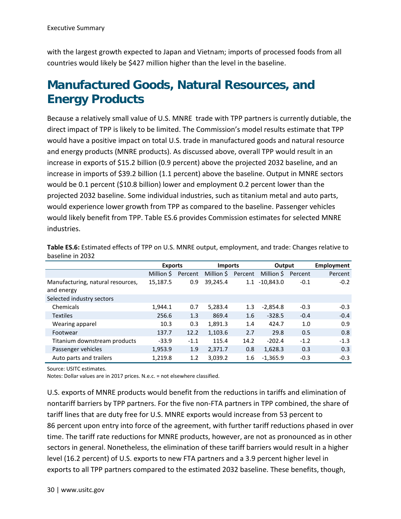with the largest growth expected to Japan and Vietnam; imports of processed foods from all countries would likely be \$427 million higher than the level in the baseline.

## **Manufactured Goods, Natural Resources, and Energy Products**

Because a relatively small value of U.S. MNRE trade with TPP partners is currently dutiable, the direct impact of TPP is likely to be limited. The Commission's model results estimate that TPP would have a positive impact on total U.S. trade in manufactured goods and natural resource and energy products (MNRE products). As discussed above, overall TPP would result in an increase in exports of \$15.2 billion (0.9 percent) above the projected 2032 baseline, and an increase in imports of \$39.2 billion (1.1 percent) above the baseline. Output in MNRE sectors would be 0.1 percent (\$10.8 billion) lower and employment 0.2 percent lower than the projected 2032 baseline. Some individual industries, such as titanium metal and auto parts, would experience lower growth from TPP as compared to the baseline. Passenger vehicles would likely benefit from TPP. Table ES.6 provides Commission estimates for selected MNRE industries.

|                                                 | <b>Exports</b> |         | <b>Imports</b> |         | Output      |         | <b>Employment</b> |
|-------------------------------------------------|----------------|---------|----------------|---------|-------------|---------|-------------------|
|                                                 | Million \$     | Percent | Million \$     | Percent | Million \$  | Percent | Percent           |
| Manufacturing, natural resources,<br>and energy | 15,187.5       | 0.9     | 39,245.4       | 1.1     | $-10,843.0$ | $-0.1$  | $-0.2$            |
| Selected industry sectors                       |                |         |                |         |             |         |                   |
| Chemicals                                       | 1,944.1        | 0.7     | 5,283.4        | 1.3     | $-2,854.8$  | $-0.3$  | $-0.3$            |
| <b>Textiles</b>                                 | 256.6          | 1.3     | 869.4          | 1.6     | $-328.5$    | $-0.4$  | $-0.4$            |
| Wearing apparel                                 | 10.3           | 0.3     | 1,891.3        | 1.4     | 424.7       | 1.0     | 0.9               |
| Footwear                                        | 137.7          | 12.2    | 1,103.6        | 2.7     | 29.8        | 0.5     | 0.8               |
| Titanium downstream products                    | $-33.9$        | $-1.1$  | 115.4          | 14.2    | $-202.4$    | $-1.2$  | $-1.3$            |
| Passenger vehicles                              | 1,953.9        | 1.9     | 2,371.7        | 0.8     | 1,628.3     | 0.3     | 0.3               |
| Auto parts and trailers                         | 1,219.8        | 1.2     | 3,039.2        | 1.6     | $-1,365.9$  | $-0.3$  | $-0.3$            |

**Table ES.6:** Estimated effects of TPP on U.S. MNRE output, employment, and trade: Changes relative to baseline in 2032

Source: USITC estimates.

Notes: Dollar values are in 2017 prices. N.e.c. = not elsewhere classified.

U.S. exports of MNRE products would benefit from the reductions in tariffs and elimination of nontariff barriers by TPP partners. For the five non-FTA partners in TPP combined, the share of tariff lines that are duty free for U.S. MNRE exports would increase from 53 percent to 86 percent upon entry into force of the agreement, with further tariff reductions phased in over time. The tariff rate reductions for MNRE products, however, are not as pronounced as in other sectors in general. Nonetheless, the elimination of these tariff barriers would result in a higher level (16.2 percent) of U.S. exports to new FTA partners and a 3.9 percent higher level in exports to all TPP partners compared to the estimated 2032 baseline. These benefits, though,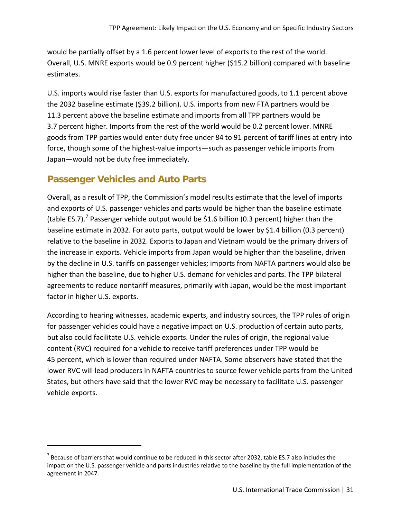would be partially offset by a 1.6 percent lower level of exports to the rest of the world. Overall, U.S. MNRE exports would be 0.9 percent higher (\$15.2 billion) compared with baseline estimates.

U.S. imports would rise faster than U.S. exports for manufactured goods, to 1.1 percent above the 2032 baseline estimate (\$39.2 billion). U.S. imports from new FTA partners would be 11.3 percent above the baseline estimate and imports from all TPP partners would be 3.7 percent higher. Imports from the rest of the world would be 0.2 percent lower. MNRE goods from TPP parties would enter duty free under 84 to 91 percent of tariff lines at entry into force, though some of the highest-value imports—such as passenger vehicle imports from Japan—would not be duty free immediately.

### **Passenger Vehicles and Auto Parts**

 $\overline{a}$ 

Overall, as a result of TPP, the Commission's model results estimate that the level of imports and exports of U.S. passenger vehicles and parts would be higher than the baseline estimate (table ES.[7](#page-10-0)).<sup>7</sup> Passenger vehicle output would be \$1.6 billion (0.3 percent) higher than the baseline estimate in 2032. For auto parts, output would be lower by \$1.4 billion (0.3 percent) relative to the baseline in 2032. Exports to Japan and Vietnam would be the primary drivers of the increase in exports. Vehicle imports from Japan would be higher than the baseline, driven by the decline in U.S. tariffs on passenger vehicles; imports from NAFTA partners would also be higher than the baseline, due to higher U.S. demand for vehicles and parts. The TPP bilateral agreements to reduce nontariff measures, primarily with Japan, would be the most important factor in higher U.S. exports.

According to hearing witnesses, academic experts, and industry sources, the TPP rules of origin for passenger vehicles could have a negative impact on U.S. production of certain auto parts, but also could facilitate U.S. vehicle exports. Under the rules of origin, the regional value content (RVC) required for a vehicle to receive tariff preferences under TPP would be 45 percent, which is lower than required under NAFTA. Some observers have stated that the lower RVC will lead producers in NAFTA countries to source fewer vehicle parts from the United States, but others have said that the lower RVC may be necessary to facilitate U.S. passenger vehicle exports.

<span id="page-10-0"></span> $^7$  Because of barriers that would continue to be reduced in this sector after 2032, table ES.7 also includes the impact on the U.S. passenger vehicle and parts industries relative to the baseline by the full implementation of the agreement in 2047.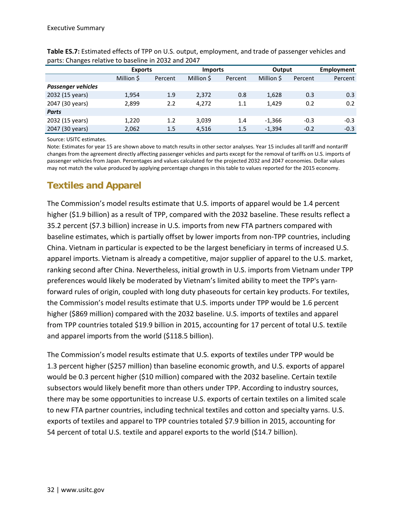|                           | <b>Exports</b> |         | <b>Imports</b> |         | Output     |         | Employment |
|---------------------------|----------------|---------|----------------|---------|------------|---------|------------|
|                           | Million \$     | Percent | Million \$     | Percent | Million \$ | Percent | Percent    |
| <b>Passenger vehicles</b> |                |         |                |         |            |         |            |
| 2032 (15 years)           | 1,954          | 1.9     | 2,372          | 0.8     | 1,628      | 0.3     | 0.3        |
| 2047 (30 years)           | 2,899          | 2.2     | 4.272          | 1.1     | 1.429      | 0.2     | 0.2        |
| <b>Parts</b>              |                |         |                |         |            |         |            |
| 2032 (15 years)           | 1,220          | 1.2     | 3,039          | 1.4     | $-1,366$   | $-0.3$  | $-0.3$     |
| 2047 (30 years)           | 2,062          | $1.5\,$ | 4,516          | $1.5\,$ | $-1,394$   | $-0.2$  | $-0.3$     |

**Table ES.7:** Estimated effects of TPP on U.S. output, employment, and trade of passenger vehicles and parts: Changes relative to baseline in 2032 and 2047

Source: USITC estimates.

Note: Estimates for year 15 are shown above to match results in other sector analyses. Year 15 includes all tariff and nontariff changes from the agreement directly affecting passenger vehicles and parts except for the removal of tariffs on U.S. imports of passenger vehicles from Japan. Percentages and values calculated for the projected 2032 and 2047 economies. Dollar values may not match the value produced by applying percentage changes in this table to values reported for the 2015 economy.

### **Textiles and Apparel**

The Commission's model results estimate that U.S. imports of apparel would be 1.4 percent higher (\$1.9 billion) as a result of TPP, compared with the 2032 baseline. These results reflect a 35.2 percent (\$7.3 billion) increase in U.S. imports from new FTA partners compared with baseline estimates, which is partially offset by lower imports from non-TPP countries, including China. Vietnam in particular is expected to be the largest beneficiary in terms of increased U.S. apparel imports. Vietnam is already a competitive, major supplier of apparel to the U.S. market, ranking second after China. Nevertheless, initial growth in U.S. imports from Vietnam under TPP preferences would likely be moderated by Vietnam's limited ability to meet the TPP's yarnforward rules of origin, coupled with long duty phaseouts for certain key products. For textiles, the Commission's model results estimate that U.S. imports under TPP would be 1.6 percent higher (\$869 million) compared with the 2032 baseline. U.S. imports of textiles and apparel from TPP countries totaled \$19.9 billion in 2015, accounting for 17 percent of total U.S. textile and apparel imports from the world (\$118.5 billion).

The Commission's model results estimate that U.S. exports of textiles under TPP would be 1.3 percent higher (\$257 million) than baseline economic growth, and U.S. exports of apparel would be 0.3 percent higher (\$10 million) compared with the 2032 baseline. Certain textile subsectors would likely benefit more than others under TPP. According to industry sources, there may be some opportunities to increase U.S. exports of certain textiles on a limited scale to new FTA partner countries, including technical textiles and cotton and specialty yarns. U.S. exports of textiles and apparel to TPP countries totaled \$7.9 billion in 2015, accounting for 54 percent of total U.S. textile and apparel exports to the world (\$14.7 billion).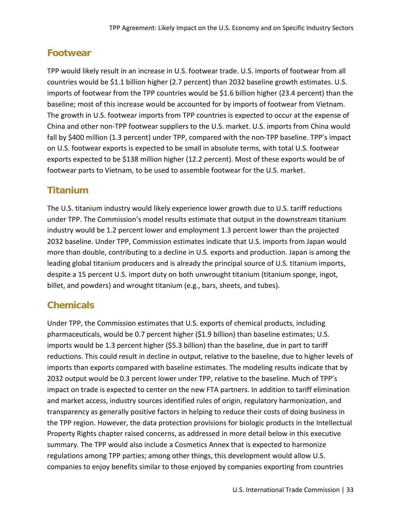### **Footwear**

TPP would likely result in an increase in U.S. footwear trade. U.S. imports of footwear from all countries would be \$1.1 billion higher (2.7 percent) than 2032 baseline growth estimates. U.S. imports of footwear from the TPP countries would be \$1.6 billion higher (23.4 percent) than the baseline; most of this increase would be accounted for by imports of footwear from Vietnam. The growth in U.S. footwear imports from TPP countries is expected to occur at the expense of China and other non-TPP footwear suppliers to the U.S. market. U.S. imports from China would fall by \$400 million (1.3 percent) under TPP, compared with the non-TPP baseline. TPP's impact on U.S. footwear exports is expected to be small in absolute terms, with total U.S. footwear exports expected to be \$138 million higher (12.2 percent). Most of these exports would be of footwear parts to Vietnam, to be used to assemble footwear for the U.S. market.

### **Titanium**

The U.S. titanium industry would likely experience lower growth due to U.S. tariff reductions under TPP. The Commission's model results estimate that output in the downstream titanium industry would be 1.2 percent lower and employment 1.3 percent lower than the projected 2032 baseline. Under TPP, Commission estimates indicate that U.S. imports from Japan would more than double, contributing to a decline in U.S. exports and production. Japan is among the leading global titanium producers and is already the principal source of U.S. titanium imports, despite a 15 percent U.S. import duty on both unwrought titanium (titanium sponge, ingot, billet, and powders) and wrought titanium (e.g., bars, sheets, and tubes).

## **Chemicals**

Under TPP, the Commission estimates that U.S. exports of chemical products, including pharmaceuticals, would be 0.7 percent higher (\$1.9 billion) than baseline estimates; U.S. imports would be 1.3 percent higher (\$5.3 billion) than the baseline, due in part to tariff reductions. This could result in decline in output, relative to the baseline, due to higher levels of imports than exports compared with baseline estimates. The modeling results indicate that by 2032 output would be 0.3 percent lower under TPP, relative to the baseline. Much of TPP's impact on trade is expected to center on the new FTA partners. In addition to tariff elimination and market access, industry sources identified rules of origin, regulatory harmonization, and transparency as generally positive factors in helping to reduce their costs of doing business in the TPP region. However, the data protection provisions for biologic products in the Intellectual Property Rights chapter raised concerns, as addressed in more detail below in this executive summary. The TPP would also include a Cosmetics Annex that is expected to harmonize regulations among TPP parties; among other things, this development would allow U.S. companies to enjoy benefits similar to those enjoyed by companies exporting from countries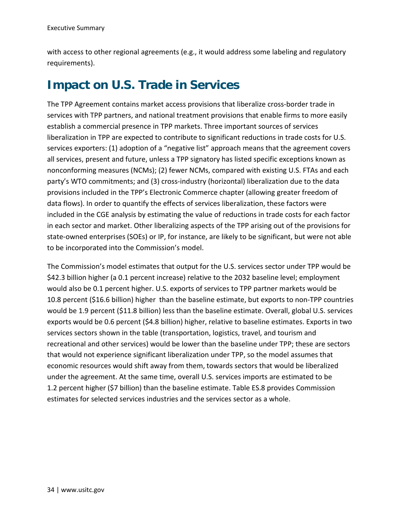with access to other regional agreements (e.g., it would address some labeling and regulatory requirements).

## **Impact on U.S. Trade in Services**

The TPP Agreement contains market access provisions that liberalize cross-border trade in services with TPP partners, and national treatment provisions that enable firms to more easily establish a commercial presence in TPP markets. Three important sources of services liberalization in TPP are expected to contribute to significant reductions in trade costs for U.S. services exporters: (1) adoption of a "negative list" approach means that the agreement covers all services, present and future, unless a TPP signatory has listed specific exceptions known as nonconforming measures (NCMs); (2) fewer NCMs, compared with existing U.S. FTAs and each party's WTO commitments; and (3) cross-industry (horizontal) liberalization due to the data provisions included in the TPP's Electronic Commerce chapter (allowing greater freedom of data flows). In order to quantify the effects of services liberalization, these factors were included in the CGE analysis by estimating the value of reductions in trade costs for each factor in each sector and market. Other liberalizing aspects of the TPP arising out of the provisions for state-owned enterprises (SOEs) or IP, for instance, are likely to be significant, but were not able to be incorporated into the Commission's model.

The Commission's model estimates that output for the U.S. services sector under TPP would be \$42.3 billion higher (a 0.1 percent increase) relative to the 2032 baseline level; employment would also be 0.1 percent higher. U.S. exports of services to TPP partner markets would be 10.8 percent (\$16.6 billion) higher than the baseline estimate, but exports to non-TPP countries would be 1.9 percent (\$11.8 billion) less than the baseline estimate. Overall, global U.S. services exports would be 0.6 percent (\$4.8 billion) higher, relative to baseline estimates. Exports in two services sectors shown in the table (transportation, logistics, travel, and tourism and recreational and other services) would be lower than the baseline under TPP; these are sectors that would not experience significant liberalization under TPP, so the model assumes that economic resources would shift away from them, towards sectors that would be liberalized under the agreement. At the same time, overall U.S. services imports are estimated to be 1.2 percent higher (\$7 billion) than the baseline estimate. Table ES.8 provides Commission estimates for selected services industries and the services sector as a whole.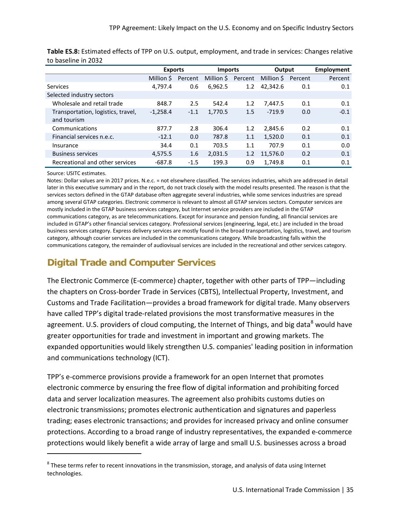|                                    | <b>Exports</b> |         | <b>Imports</b> |         | Output    |         | Employment |
|------------------------------------|----------------|---------|----------------|---------|-----------|---------|------------|
|                                    | Million \$     | Percent | Million \$     | Percent | Million S | Percent | Percent    |
| Services                           | 4.797.4        | 0.6     | 6,962.5        | 1.2     | 42.342.6  | 0.1     | 0.1        |
| Selected industry sectors          |                |         |                |         |           |         |            |
| Wholesale and retail trade         | 848.7          | 2.5     | 542.4          | 1.2     | 7,447.5   | 0.1     | 0.1        |
| Transportation, logistics, travel, | $-1,258.4$     | $-1.1$  | 1,770.5        | 1.5     | $-719.9$  | 0.0     | $-0.1$     |
| and tourism                        |                |         |                |         |           |         |            |
| Communications                     | 877.7          | 2.8     | 306.4          | 1.2     | 2.845.6   | 0.2     | 0.1        |
| Financial services n.e.c.          | $-12.1$        | 0.0     | 787.8          | 1.1     | 1,520.0   | 0.1     | 0.1        |
| Insurance                          | 34.4           | 0.1     | 703.5          | 1.1     | 707.9     | 0.1     | 0.0        |
| <b>Business services</b>           | 4.575.5        | 1.6     | 2,031.5        | 1.2     | 11,576.0  | 0.2     | 0.1        |
| Recreational and other services    | $-687.8$       | $-1.5$  | 199.3          | 0.9     | 1.749.8   | 0.1     | 0.1        |

**Table ES.8:** Estimated effects of TPP on U.S. output, employment, and trade in services: Changes relative to baseline in 2032

#### Source: USITC estimates.

 $\overline{a}$ 

Notes: Dollar values are in 2017 prices. N.e.c. = not elsewhere classified. The services industries, which are addressed in detail later in this executive summary and in the report, do not track closely with the model results presented. The reason is that the services sectors defined in the GTAP database often aggregate several industries, while some services industries are spread among several GTAP categories. Electronic commerce is relevant to almost all GTAP services sectors. Computer services are mostly included in the GTAP business services category, but Internet service providers are included in the GTAP communications category, as are telecommunications. Except for insurance and pension funding, all financial services are included in GTAP's other financial services category. Professional services (engineering, legal, etc.) are included in the broad business services category. Express delivery services are mostly found in the broad transportation, logistics, travel, and tourism category, although courier services are included in the communications category. While broadcasting falls within the communications category, the remainder of audiovisual services are included in the recreational and other services category.

### **Digital Trade and Computer Services**

The Electronic Commerce (E-commerce) chapter, together with other parts of TPP—including the chapters on Cross-border Trade in Services (CBTS), Intellectual Property, Investment, and Customs and Trade Facilitation—provides a broad framework for digital trade. Many observers have called TPP's digital trade-related provisions the most transformative measures in the agreement. U.S. providers of cloud computing, the Internet of Things, and big data<sup>[8](#page-14-0)</sup> would have greater opportunities for trade and investment in important and growing markets. The expanded opportunities would likely strengthen U.S. companies' leading position in information and communications technology (ICT).

TPP's e-commerce provisions provide a framework for an open Internet that promotes electronic commerce by ensuring the free flow of digital information and prohibiting forced data and server localization measures. The agreement also prohibits customs duties on electronic transmissions; promotes electronic authentication and signatures and paperless trading; eases electronic transactions; and provides for increased privacy and online consumer protections. According to a broad range of industry representatives, the expanded e-commerce protections would likely benefit a wide array of large and small U.S. businesses across a broad

<span id="page-14-0"></span><sup>&</sup>lt;sup>8</sup> These terms refer to recent innovations in the transmission, storage, and analysis of data using Internet technologies.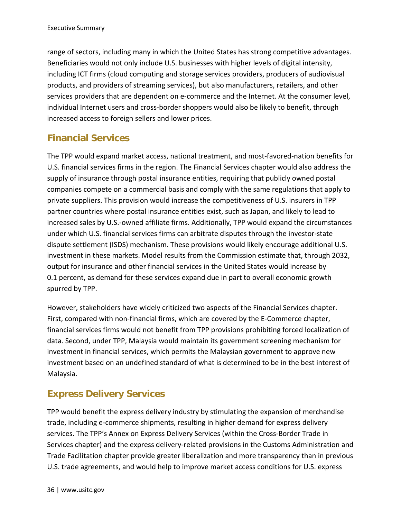range of sectors, including many in which the United States has strong competitive advantages. Beneficiaries would not only include U.S. businesses with higher levels of digital intensity, including ICT firms (cloud computing and storage services providers, producers of audiovisual products, and providers of streaming services), but also manufacturers, retailers, and other services providers that are dependent on e-commerce and the Internet. At the consumer level, individual Internet users and cross-border shoppers would also be likely to benefit, through increased access to foreign sellers and lower prices.

### **Financial Services**

The TPP would expand market access, national treatment, and most-favored-nation benefits for U.S. financial services firms in the region. The Financial Services chapter would also address the supply of insurance through postal insurance entities, requiring that publicly owned postal companies compete on a commercial basis and comply with the same regulations that apply to private suppliers. This provision would increase the competitiveness of U.S. insurers in TPP partner countries where postal insurance entities exist, such as Japan, and likely to lead to increased sales by U.S.-owned affiliate firms. Additionally, TPP would expand the circumstances under which U.S. financial services firms can arbitrate disputes through the investor-state dispute settlement (ISDS) mechanism. These provisions would likely encourage additional U.S. investment in these markets. Model results from the Commission estimate that, through 2032, output for insurance and other financial services in the United States would increase by 0.1 percent, as demand for these services expand due in part to overall economic growth spurred by TPP.

However, stakeholders have widely criticized two aspects of the Financial Services chapter. First, compared with non-financial firms, which are covered by the E-Commerce chapter, financial services firms would not benefit from TPP provisions prohibiting forced localization of data. Second, under TPP, Malaysia would maintain its government screening mechanism for investment in financial services, which permits the Malaysian government to approve new investment based on an undefined standard of what is determined to be in the best interest of Malaysia.

## **Express Delivery Services**

TPP would benefit the express delivery industry by stimulating the expansion of merchandise trade, including e-commerce shipments, resulting in higher demand for express delivery services. The TPP's Annex on Express Delivery Services (within the Cross-Border Trade in Services chapter) and the express delivery-related provisions in the Customs Administration and Trade Facilitation chapter provide greater liberalization and more transparency than in previous U.S. trade agreements, and would help to improve market access conditions for U.S. express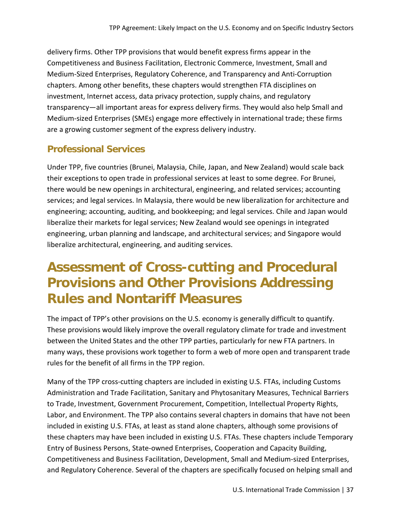delivery firms. Other TPP provisions that would benefit express firms appear in the Competitiveness and Business Facilitation, Electronic Commerce, Investment, Small and Medium-Sized Enterprises, Regulatory Coherence, and Transparency and Anti-Corruption chapters. Among other benefits, these chapters would strengthen FTA disciplines on investment, Internet access, data privacy protection, supply chains, and regulatory transparency—all important areas for express delivery firms. They would also help Small and Medium-sized Enterprises (SMEs) engage more effectively in international trade; these firms are a growing customer segment of the express delivery industry.

### **Professional Services**

Under TPP, five countries (Brunei, Malaysia, Chile, Japan, and New Zealand) would scale back their exceptions to open trade in professional services at least to some degree. For Brunei, there would be new openings in architectural, engineering, and related services; accounting services; and legal services. In Malaysia, there would be new liberalization for architecture and engineering; accounting, auditing, and bookkeeping; and legal services. Chile and Japan would liberalize their markets for legal services; New Zealand would see openings in integrated engineering, urban planning and landscape, and architectural services; and Singapore would liberalize architectural, engineering, and auditing services.

## **Assessment of Cross-cutting and Procedural Provisions and Other Provisions Addressing Rules and Nontariff Measures**

The impact of TPP's other provisions on the U.S. economy is generally difficult to quantify. These provisions would likely improve the overall regulatory climate for trade and investment between the United States and the other TPP parties, particularly for new FTA partners. In many ways, these provisions work together to form a web of more open and transparent trade rules for the benefit of all firms in the TPP region.

Many of the TPP cross-cutting chapters are included in existing U.S. FTAs, including Customs Administration and Trade Facilitation, Sanitary and Phytosanitary Measures, Technical Barriers to Trade, Investment, Government Procurement, Competition, Intellectual Property Rights, Labor, and Environment. The TPP also contains several chapters in domains that have not been included in existing U.S. FTAs, at least as stand alone chapters, although some provisions of these chapters may have been included in existing U.S. FTAs. These chapters include Temporary Entry of Business Persons, State-owned Enterprises, Cooperation and Capacity Building, Competitiveness and Business Facilitation, Development, Small and Medium-sized Enterprises, and Regulatory Coherence. Several of the chapters are specifically focused on helping small and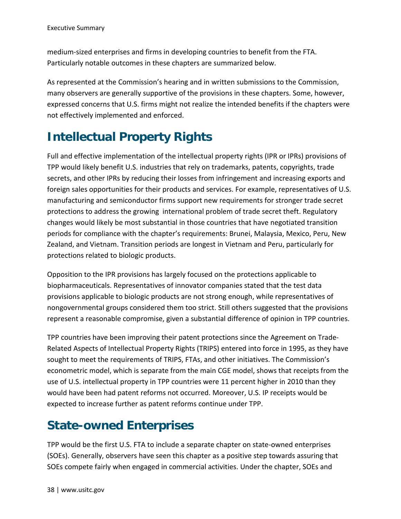medium-sized enterprises and firms in developing countries to benefit from the FTA. Particularly notable outcomes in these chapters are summarized below.

As represented at the Commission's hearing and in written submissions to the Commission, many observers are generally supportive of the provisions in these chapters. Some, however, expressed concerns that U.S. firms might not realize the intended benefits if the chapters were not effectively implemented and enforced.

## **Intellectual Property Rights**

Full and effective implementation of the intellectual property rights (IPR or IPRs) provisions of TPP would likely benefit U.S. industries that rely on trademarks, patents, copyrights, trade secrets, and other IPRs by reducing their losses from infringement and increasing exports and foreign sales opportunities for their products and services. For example, representatives of U.S. manufacturing and semiconductor firms support new requirements for stronger trade secret protections to address the growing international problem of trade secret theft. Regulatory changes would likely be most substantial in those countries that have negotiated transition periods for compliance with the chapter's requirements: Brunei, Malaysia, Mexico, Peru, New Zealand, and Vietnam. Transition periods are longest in Vietnam and Peru, particularly for protections related to biologic products.

Opposition to the IPR provisions has largely focused on the protections applicable to biopharmaceuticals. Representatives of innovator companies stated that the test data provisions applicable to biologic products are not strong enough, while representatives of nongovernmental groups considered them too strict. Still others suggested that the provisions represent a reasonable compromise, given a substantial difference of opinion in TPP countries.

TPP countries have been improving their patent protections since the Agreement on Trade-Related Aspects of Intellectual Property Rights (TRIPS) entered into force in 1995, as they have sought to meet the requirements of TRIPS, FTAs, and other initiatives. The Commission's econometric model, which is separate from the main CGE model, shows that receipts from the use of U.S. intellectual property in TPP countries were 11 percent higher in 2010 than they would have been had patent reforms not occurred. Moreover, U.S. IP receipts would be expected to increase further as patent reforms continue under TPP.

## **State-owned Enterprises**

TPP would be the first U.S. FTA to include a separate chapter on state-owned enterprises (SOEs). Generally, observers have seen this chapter as a positive step towards assuring that SOEs compete fairly when engaged in commercial activities. Under the chapter, SOEs and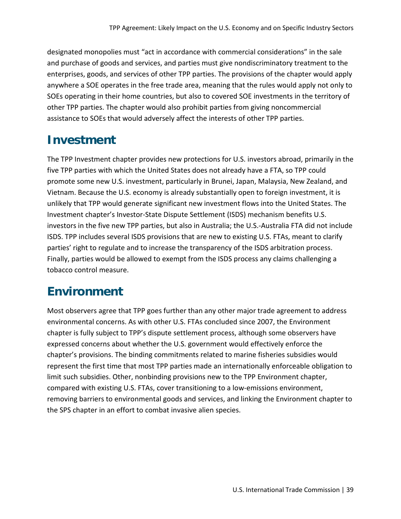designated monopolies must "act in accordance with commercial considerations" in the sale and purchase of goods and services, and parties must give nondiscriminatory treatment to the enterprises, goods, and services of other TPP parties. The provisions of the chapter would apply anywhere a SOE operates in the free trade area, meaning that the rules would apply not only to SOEs operating in their home countries, but also to covered SOE investments in the territory of other TPP parties. The chapter would also prohibit parties from giving noncommercial assistance to SOEs that would adversely affect the interests of other TPP parties.

## **Investment**

The TPP Investment chapter provides new protections for U.S. investors abroad, primarily in the five TPP parties with which the United States does not already have a FTA, so TPP could promote some new U.S. investment, particularly in Brunei, Japan, Malaysia, New Zealand, and Vietnam. Because the U.S. economy is already substantially open to foreign investment, it is unlikely that TPP would generate significant new investment flows into the United States. The Investment chapter's Investor-State Dispute Settlement (ISDS) mechanism benefits U.S. investors in the five new TPP parties, but also in Australia; the U.S.-Australia FTA did not include ISDS. TPP includes several ISDS provisions that are new to existing U.S. FTAs, meant to clarify parties' right to regulate and to increase the transparency of the ISDS arbitration process. Finally, parties would be allowed to exempt from the ISDS process any claims challenging a tobacco control measure.

## **Environment**

Most observers agree that TPP goes further than any other major trade agreement to address environmental concerns. As with other U.S. FTAs concluded since 2007, the Environment chapter is fully subject to TPP's dispute settlement process, although some observers have expressed concerns about whether the U.S. government would effectively enforce the chapter's provisions. The binding commitments related to marine fisheries subsidies would represent the first time that most TPP parties made an internationally enforceable obligation to limit such subsidies. Other, nonbinding provisions new to the TPP Environment chapter, compared with existing U.S. FTAs, cover transitioning to a low-emissions environment, removing barriers to environmental goods and services, and linking the Environment chapter to the SPS chapter in an effort to combat invasive alien species.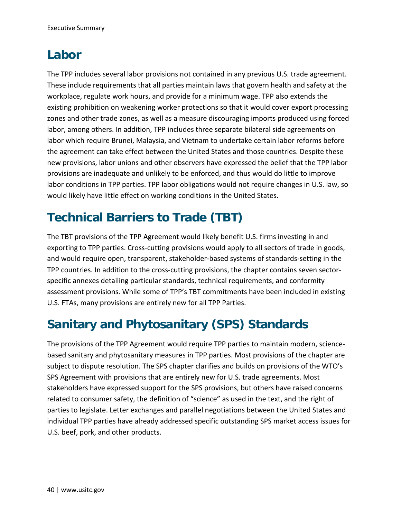## **Labor**

The TPP includes several labor provisions not contained in any previous U.S. trade agreement. These include requirements that all parties maintain laws that govern health and safety at the workplace, regulate work hours, and provide for a minimum wage. TPP also extends the existing prohibition on weakening worker protections so that it would cover export processing zones and other trade zones, as well as a measure discouraging imports produced using forced labor, among others. In addition, TPP includes three separate bilateral side agreements on labor which require Brunei, Malaysia, and Vietnam to undertake certain labor reforms before the agreement can take effect between the United States and those countries. Despite these new provisions, labor unions and other observers have expressed the belief that the TPP labor provisions are inadequate and unlikely to be enforced, and thus would do little to improve labor conditions in TPP parties. TPP labor obligations would not require changes in U.S. law, so would likely have little effect on working conditions in the United States.

## **Technical Barriers to Trade (TBT)**

The TBT provisions of the TPP Agreement would likely benefit U.S. firms investing in and exporting to TPP parties. Cross-cutting provisions would apply to all sectors of trade in goods, and would require open, transparent, stakeholder-based systems of standards-setting in the TPP countries. In addition to the cross-cutting provisions, the chapter contains seven sectorspecific annexes detailing particular standards, technical requirements, and conformity assessment provisions. While some of TPP's TBT commitments have been included in existing U.S. FTAs, many provisions are entirely new for all TPP Parties.

## **Sanitary and Phytosanitary (SPS) Standards**

The provisions of the TPP Agreement would require TPP parties to maintain modern, sciencebased sanitary and phytosanitary measures in TPP parties. Most provisions of the chapter are subject to dispute resolution. The SPS chapter clarifies and builds on provisions of the WTO's SPS Agreement with provisions that are entirely new for U.S. trade agreements. Most stakeholders have expressed support for the SPS provisions, but others have raised concerns related to consumer safety, the definition of "science" as used in the text, and the right of parties to legislate. Letter exchanges and parallel negotiations between the United States and individual TPP parties have already addressed specific outstanding SPS market access issues for U.S. beef, pork, and other products.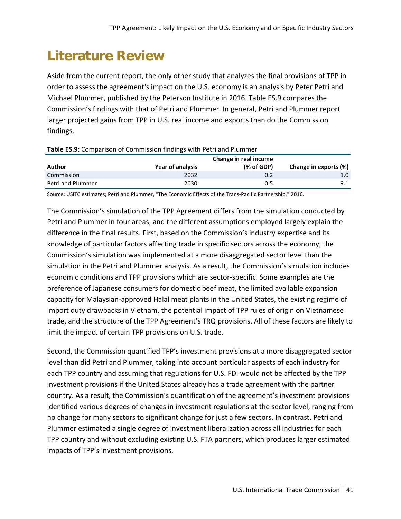# **Literature Review**

Aside from the current report, the only other study that analyzes the final provisions of TPP in order to assess the agreement's impact on the U.S. economy is an analysis by Peter Petri and Michael Plummer, published by the Peterson Institute in 2016. Table ES.9 compares the Commission's findings with that of Petri and Plummer. In general, Petri and Plummer report larger projected gains from TPP in U.S. real income and exports than do the Commission findings.

|                   | Change in real income |            |                       |  |  |  |  |  |
|-------------------|-----------------------|------------|-----------------------|--|--|--|--|--|
| Author            | Year of analysis      | (% of GDP) | Change in exports (%) |  |  |  |  |  |
| Commission        | 2032                  | 0.2        |                       |  |  |  |  |  |
| Petri and Plummer | 2030                  | 0.5        | 9.1                   |  |  |  |  |  |
|                   |                       |            |                       |  |  |  |  |  |

#### **Table ES.9:** Comparison of Commission findings with Petri and Plummer

Source: USITC estimates; Petri and Plummer, "The Economic Effects of the Trans-Pacific Partnership," 2016.

The Commission's simulation of the TPP Agreement differs from the simulation conducted by Petri and Plummer in four areas, and the different assumptions employed largely explain the difference in the final results. First, based on the Commission's industry expertise and its knowledge of particular factors affecting trade in specific sectors across the economy, the Commission's simulation was implemented at a more disaggregated sector level than the simulation in the Petri and Plummer analysis. As a result, the Commission's simulation includes economic conditions and TPP provisions which are sector-specific. Some examples are the preference of Japanese consumers for domestic beef meat, the limited available expansion capacity for Malaysian-approved Halal meat plants in the United States, the existing regime of import duty drawbacks in Vietnam, the potential impact of TPP rules of origin on Vietnamese trade, and the structure of the TPP Agreement's TRQ provisions. All of these factors are likely to limit the impact of certain TPP provisions on U.S. trade.

Second, the Commission quantified TPP's investment provisions at a more disaggregated sector level than did Petri and Plummer, taking into account particular aspects of each industry for each TPP country and assuming that regulations for U.S. FDI would not be affected by the TPP investment provisions if the United States already has a trade agreement with the partner country. As a result, the Commission's quantification of the agreement's investment provisions identified various degrees of changes in investment regulations at the sector level, ranging from no change for many sectors to significant change for just a few sectors. In contrast, Petri and Plummer estimated a single degree of investment liberalization across all industries for each TPP country and without excluding existing U.S. FTA partners, which produces larger estimated impacts of TPP's investment provisions.